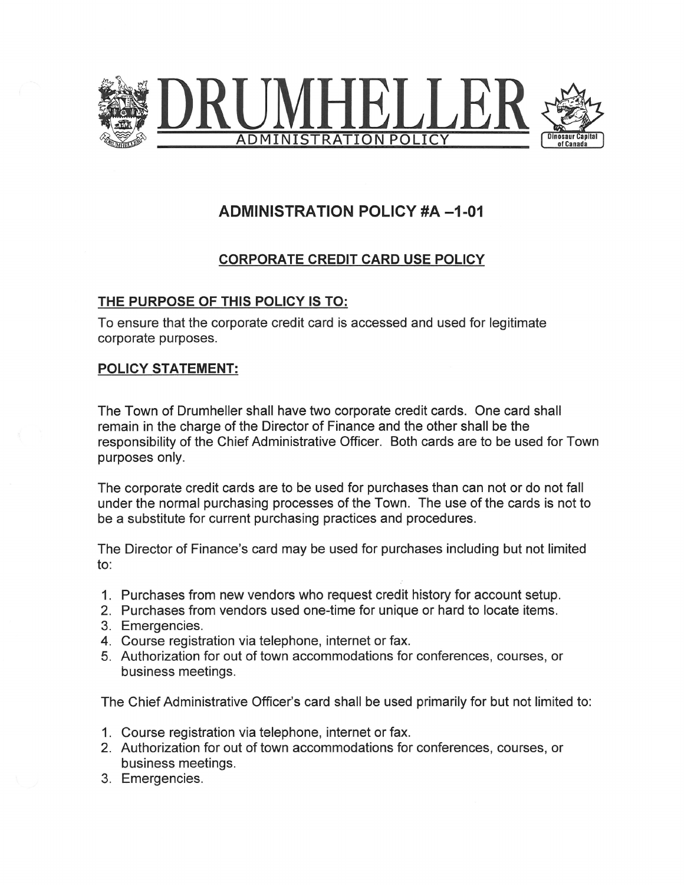

## ADMINISTRATION POLICY #A -1-01

## CORPORATE CREDIT CARD USE POLICY

## THE PURPOSE OF THIS POLICY IS TO:

To ensure that the corporate credit card is accessed and used for legitimate corporate purposes.

## POLICY STATEMENT:

The Town of Drumheller shall have two corporate credit cards. One card shall remain in the charge of the Director of Finance and the other shall be the responsibility of the Chief Administrative Officer. Both cards are to be used for Town purposes only.

The corporate credit cards are to be used for purchases than can not or do not fall under the normal purchasing processes of the Town. The use of the cards is not to be a substitute for current purchasing practices and procedures.

The Director of Finance's card may be used for purchases including but not limited to:

- 1. Purchases from new vendors who request credit history for account setup.
- 2. Purchases from vendors used one-time for unique or hard to locate items.
- 3. Emergencies.
- Course registration via telephone, internet or fax.
- Authorization for out of town accommodations for conferences, courses, or business meetings.

The Chief Administrative Officer's card shall be used primarily for but not limited to:

- 1. Course registration via telephone, internet or fax.
- 2. Authorization for out of town accommodations for conferences, courses, or business meetings.
- 3. Emergencies.